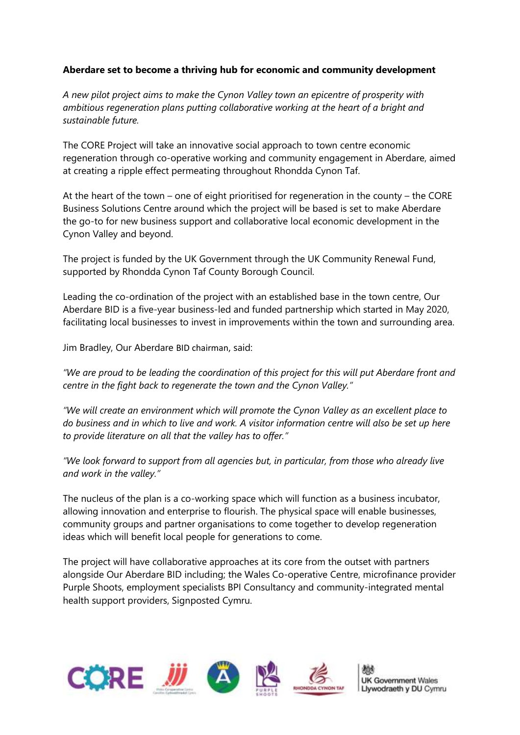# **Aberdare set to become a thriving hub for economic and community development**

*A new pilot project aims to make the Cynon Valley town an epicentre of prosperity with ambitious regeneration plans putting collaborative working at the heart of a bright and sustainable future.*

The CORE Project will take an innovative social approach to town centre economic regeneration through co-operative working and community engagement in Aberdare, aimed at creating a ripple effect permeating throughout Rhondda Cynon Taf.

At the heart of the town – one of eight prioritised for regeneration in the county – the CORE Business Solutions Centre around which the project will be based is set to make Aberdare the go-to for new business support and collaborative local economic development in the Cynon Valley and beyond.

The project is funded by the UK Government through the UK Community Renewal Fund, supported by Rhondda Cynon Taf County Borough Council.

Leading the co-ordination of the project with an established base in the town centre, Our Aberdare BID is a five-year business-led and funded partnership which started in May 2020, facilitating local businesses to invest in improvements within the town and surrounding area.

Jim Bradley, Our Aberdare BID chairman, said:

*"We are proud to be leading the coordination of this project for this will put Aberdare front and centre in the fight back to regenerate the town and the Cynon Valley."*

*"We will create an environment which will promote the Cynon Valley as an excellent place to do business and in which to live and work. A visitor information centre will also be set up here to provide literature on all that the valley has to offer."*

*"We look forward to support from all agencies but, in particular, from those who already live and work in the valley."*

The nucleus of the plan is a co-working space which will function as a business incubator, allowing innovation and enterprise to flourish. The physical space will enable businesses, community groups and partner organisations to come together to develop regeneration ideas which will benefit local people for generations to come.

The project will have collaborative approaches at its core from the outset with partners alongside Our Aberdare BID including; the Wales Co-operative Centre, microfinance provider Purple Shoots, employment specialists BPI Consultancy and community-integrated mental health support providers, Signposted Cymru.

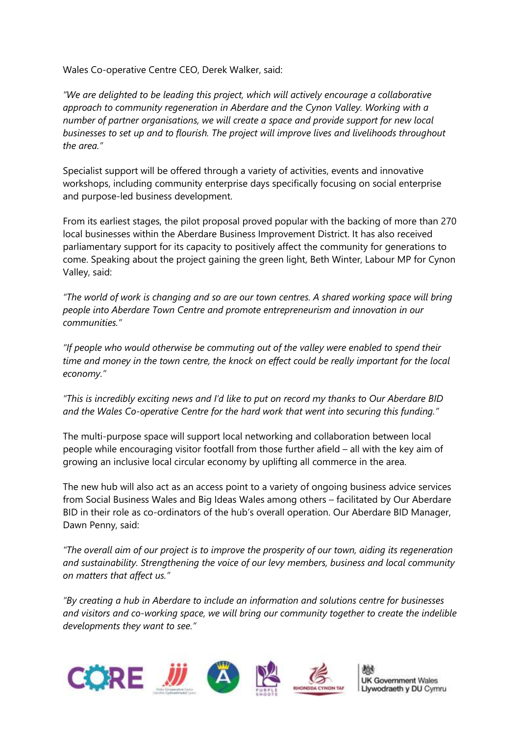Wales Co-operative Centre CEO, Derek Walker, said:

*"We are delighted to be leading this project, which will actively encourage a collaborative approach to community regeneration in Aberdare and the Cynon Valley. Working with a number of partner organisations, we will create a space and provide support for new local businesses to set up and to flourish. The project will improve lives and livelihoods throughout the area."*

Specialist support will be offered through a variety of activities, events and innovative workshops, including community enterprise days specifically focusing on social enterprise and purpose-led business development.

From its earliest stages, the pilot proposal proved popular with the backing of more than 270 local businesses within the Aberdare Business Improvement District. It has also received parliamentary support for its capacity to positively affect the community for generations to come. Speaking about the project gaining the green light, Beth Winter, Labour MP for Cynon Valley, said:

*"The world of work is changing and so are our town centres. A shared working space will bring people into Aberdare Town Centre and promote entrepreneurism and innovation in our communities."*

*"If people who would otherwise be commuting out of the valley were enabled to spend their time and money in the town centre, the knock on effect could be really important for the local economy."*

*"This is incredibly exciting news and I'd like to put on record my thanks to Our Aberdare BID and the Wales Co-operative Centre for the hard work that went into securing this funding."*

The multi-purpose space will support local networking and collaboration between local people while encouraging visitor footfall from those further afield – all with the key aim of growing an inclusive local circular economy by uplifting all commerce in the area.

The new hub will also act as an access point to a variety of ongoing business advice services from Social Business Wales and Big Ideas Wales among others – facilitated by Our Aberdare BID in their role as co-ordinators of the hub's overall operation. Our Aberdare BID Manager, Dawn Penny, said:

*"The overall aim of our project is to improve the prosperity of our town, aiding its regeneration and sustainability. Strengthening the voice of our levy members, business and local community on matters that affect us."*

*"By creating a hub in Aberdare to include an information and solutions centre for businesses and visitors and co-working space, we will bring our community together to create the indelible developments they want to see."*

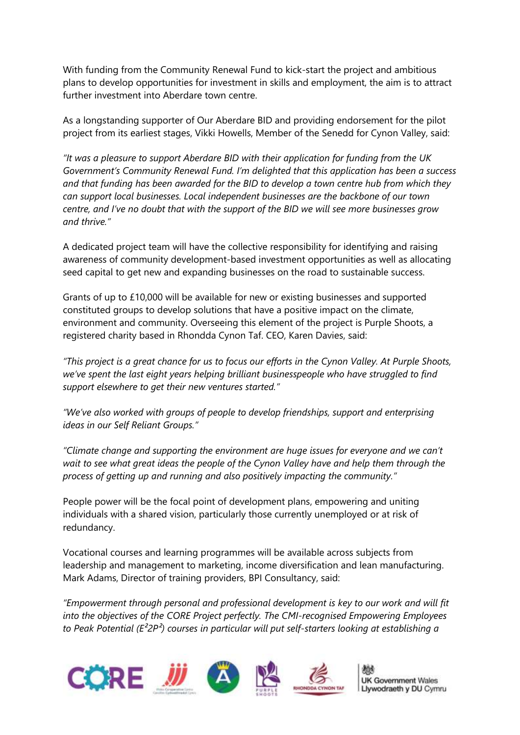With funding from the Community Renewal Fund to kick-start the project and ambitious plans to develop opportunities for investment in skills and employment, the aim is to attract further investment into Aberdare town centre.

As a longstanding supporter of Our Aberdare BID and providing endorsement for the pilot project from its earliest stages, Vikki Howells, Member of the Senedd for Cynon Valley, said:

*"It was a pleasure to support Aberdare BID with their application for funding from the UK Government's Community Renewal Fund. I'm delighted that this application has been a success and that funding has been awarded for the BID to develop a town centre hub from which they can support local businesses. Local independent businesses are the backbone of our town centre, and I've no doubt that with the support of the BID we will see more businesses grow and thrive."*

A dedicated project team will have the collective responsibility for identifying and raising awareness of community development-based investment opportunities as well as allocating seed capital to get new and expanding businesses on the road to sustainable success.

Grants of up to £10,000 will be available for new or existing businesses and supported constituted groups to develop solutions that have a positive impact on the climate, environment and community. Overseeing this element of the project is Purple Shoots, a registered charity based in Rhondda Cynon Taf. CEO, Karen Davies, said:

*"This project is a great chance for us to focus our efforts in the Cynon Valley. At Purple Shoots, we've spent the last eight years helping brilliant businesspeople who have struggled to find support elsewhere to get their new ventures started."*

*"We've also worked with groups of people to develop friendships, support and enterprising ideas in our Self Reliant Groups."*

*"Climate change and supporting the environment are huge issues for everyone and we can't wait to see what great ideas the people of the Cynon Valley have and help them through the process of getting up and running and also positively impacting the community."*

People power will be the focal point of development plans, empowering and uniting individuals with a shared vision, particularly those currently unemployed or at risk of redundancy.

Vocational courses and learning programmes will be available across subjects from leadership and management to marketing, income diversification and lean manufacturing. Mark Adams, Director of training providers, BPI Consultancy, said:

*"Empowerment through personal and professional development is key to our work and will fit into the objectives of the CORE Project perfectly. The CMI-recognised Empowering Employees to Peak Potential (E²2P²) courses in particular will put self-starters looking at establishing a* 

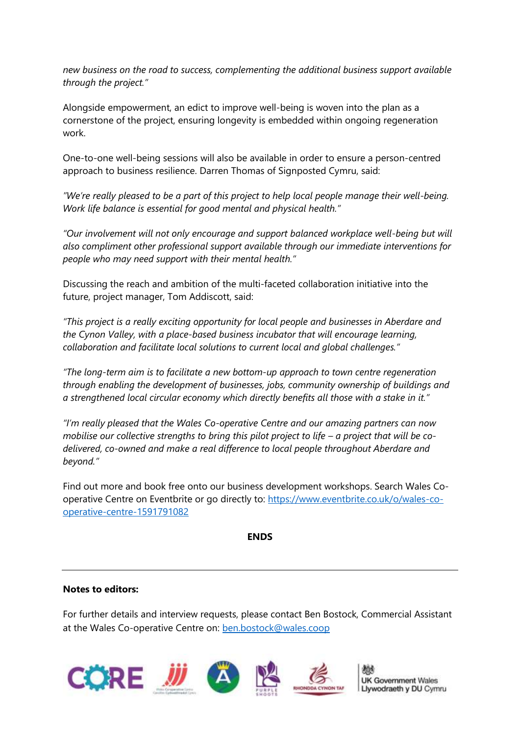*new business on the road to success, complementing the additional business support available through the project."*

Alongside empowerment, an edict to improve well-being is woven into the plan as a cornerstone of the project, ensuring longevity is embedded within ongoing regeneration work.

One-to-one well-being sessions will also be available in order to ensure a person-centred approach to business resilience. Darren Thomas of Signposted Cymru, said:

"We're really pleased to be a part of this project to help local people manage their well-being. *Work life balance is essential for good mental and physical health."*

*"Our involvement will not only encourage and support balanced workplace well-being but will also compliment other professional support available through our immediate interventions for people who may need support with their mental health."*

Discussing the reach and ambition of the multi-faceted collaboration initiative into the future, project manager, Tom Addiscott, said:

*"This project is a really exciting opportunity for local people and businesses in Aberdare and the Cynon Valley, with a place-based business incubator that will encourage learning, collaboration and facilitate local solutions to current local and global challenges."* 

*"The long-term aim is to facilitate a new bottom-up approach to town centre regeneration through enabling the development of businesses, jobs, community ownership of buildings and a strengthened local circular economy which directly benefits all those with a stake in it."*

*"I'm really pleased that the Wales Co-operative Centre and our amazing partners can now mobilise our collective strengths to bring this pilot project to life – a project that will be codelivered, co-owned and make a real difference to local people throughout Aberdare and beyond."*

Find out more and book free onto our business development workshops. Search Wales Cooperative Centre on Eventbrite or go directly to: [https://www.eventbrite.co.uk/o/wales-co](https://www.eventbrite.co.uk/o/wales-co-operative-centre-1591791082)[operative-centre-1591791082](https://www.eventbrite.co.uk/o/wales-co-operative-centre-1591791082)

## **ENDS**

## **Notes to editors:**

For further details and interview requests, please contact Ben Bostock, Commercial Assistant at the Wales Co-operative Centre on: [ben.bostock@wales.coop](mailto:ben.bostock@wales.coop)